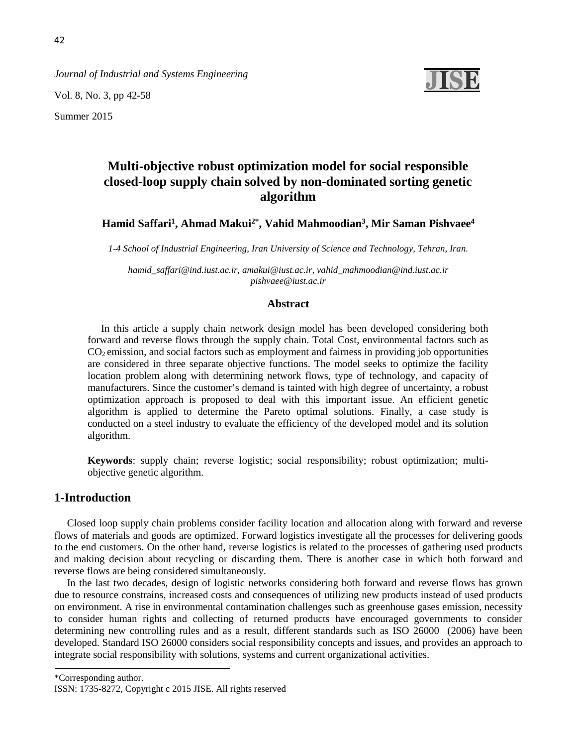*Journal of Industrial and Systems Engineering*

Vol. 8, No. 3, pp 42-58

Summer 2015

# **Multi-objective robust optimization model for social responsible closed-loop supply chain solved by non-dominated sorting genetic algorithm**

**Hamid Saffari1, Ahmad Makui2\*, Vahid Mahmoodian3, Mir Saman Pishvaee4**

*1-4 School of Industrial Engineering, Iran University of Science and Technology, Tehran, Iran.*

*[hamid\\_saffari@ind.iust.ac.ir,](mailto:hamid_saffari@ind.iust.ac.ir) [amakui@iust.ac.ir,](mailto:amakui@iust.ac.ir) vahid\_mahmoodian@ind.iust.ac.ir pishvaee@iust.ac.ir*

#### **Abstract**

In this article a supply chain network design model has been developed considering both forward and reverse flows through the supply chain. Total Cost, environmental factors such as CO2 emission, and social factors such as employment and fairness in providing job opportunities are considered in three separate objective functions. The model seeks to optimize the facility location problem along with determining network flows, type of technology, and capacity of manufacturers. Since the customer's demand is tainted with high degree of uncertainty, a robust optimization approach is proposed to deal with this important issue. An efficient genetic algorithm is applied to determine the Pareto optimal solutions. Finally, a case study is conducted on a steel industry to evaluate the efficiency of the developed model and its solution algorithm.

**Keywords**: supply chain; reverse logistic; social responsibility; robust optimization; multiobjective genetic algorithm.

# **1-Introduction**

Closed loop supply chain problems consider facility location and allocation along with forward and reverse flows of materials and goods are optimized. Forward logistics investigate all the processes for delivering goods to the end customers. On the other hand, reverse logistics is related to the processes of gathering used products and making decision about recycling or discarding them. There is another case in which both forward and reverse flows are being considered simultaneously.

In the last two decades, design of logistic networks considering both forward and reverse flows has grown due to resource constrains, increased costs and consequences of utilizing new products instead of used products on environment. A rise in environmental contamination challenges such as greenhouse gases emission, necessity to consider human rights and collecting of returned products have encouraged governments to consider determining new controlling rules and as a result, different standards such as [ISO 26000 \(2006\)](#page-15-0) have been developed. Standard ISO 26000 considers social responsibility concepts and issues, and provides an approach to integrate social responsibility with solutions, systems and current organizational activities.

\*Corresponding author.

ISSN: 1735-8272, Copyright c 2015 JISE. All rights reserved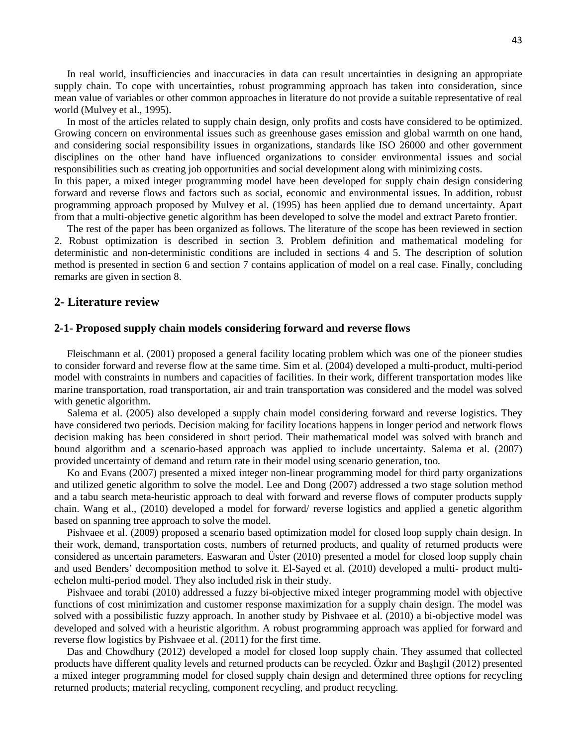In real world, insufficiencies and inaccuracies in data can result uncertainties in designing an appropriate supply chain. To cope with uncertainties, robust programming approach has taken into consideration, since mean value of variables or other common approaches in literature do not provide a suitable representative of real world [\(Mulvey et al., 1995\).](#page-15-0)

In most of the articles related to supply chain design, only profits and costs have considered to be optimized. Growing concern on environmental issues such as greenhouse gases emission and global warmth on one hand, and considering social responsibility issues in organizations, standards like ISO 26000 and other government disciplines on the other hand have influenced organizations to consider environmental issues and social responsibilities such as creating job opportunities and social development along with minimizing costs. In this paper, a mixed integer programming model have been developed for supply chain design considering

forward and reverse flows and factors such as social, economic and environmental issues. In addition, robust programming approach proposed by [Mulvey et al. \(1995\)](#page-15-0) has been applied due to demand uncertainty. Apart from that a multi-objective genetic algorithm has been developed to solve the model and extract Pareto frontier.

The rest of the paper has been organized as follows. The literature of the scope has been reviewed in section 2. Robust optimization is described in section 3. Problem definition and mathematical modeling for deterministic and non-deterministic conditions are included in sections 4 and 5. The description of solution method is presented in section 6 and section 7 contains application of model on a real case. Finally, concluding remarks are given in section 8.

# **2- Literature review**

#### **2-1- Proposed supply chain models considering forward and reverse flows**

[Fleischmann et al. \(2001\)](#page-15-1) proposed a general facility locating problem which was one of the pioneer studies to consider forward and reverse flow at the same time. [Sim et al. \(2004\)](#page-16-0) developed a multi-product, multi-period model with constraints in numbers and capacities of facilities. In their work, different transportation modes like marine transportation, road transportation, air and train transportation was considered and the model was solved with genetic algorithm.

[Salema et al. \(2005\)](#page-16-1) also developed a supply chain model considering forward and reverse logistics. They have considered two periods. Decision making for facility locations happens in longer period and network flows decision making has been considered in short period. Their mathematical model was solved with branch and bound algorithm and a scenario-based approach was applied to include uncertainty. [Salema et al. \(2007\)](#page-16-2) provided uncertainty of demand and return rate in their model using scenario generation, too.

[Ko and Evans \(2007\)](#page-15-2) presented a mixed integer non-linear programming model for third party organizations and utilized genetic algorithm to solve the model. [Lee and Dong \(2007\)](#page-15-3) addressed a two stage solution method and a tabu search meta-heuristic approach to deal with forward and reverse flows of computer products supply chain. [Wang et al., \(2010\)](#page-16-3) developed a model for forward/ reverse logistics and applied a genetic algorithm based on spanning tree approach to solve the model.

[Pishvaee et al. \(2009\)](#page-15-4) proposed a scenario based optimization model for closed loop supply chain design. In their work, demand, transportation costs, numbers of returned products, and quality of returned products were considered as uncertain parameters. [Easwaran and Üster \(2010\)](#page-14-0) presented a model for closed loop supply chain and used Benders' decomposition method to solve it. [El-Sayed et al. \(2010\)](#page-14-1) developed a multi- product multiechelon multi-period model. They also included risk in their study.

Pishvaee [and torabi \(2010\)](#page-15-5) addressed a fuzzy bi-objective mixed integer programming model with objective functions of cost minimization and customer response maximization for a supply chain design. The model was solved with a possibilistic fuzzy approach. In another study by [Pishvaee et al. \(2010\)](#page-15-6) a bi-objective model was developed and solved with a heuristic algorithm. A robust programming approach was applied for forward and reverse flow logistics by [Pishvaee et al. \(2011\)](#page-15-7) for the first time.

[Das and Chowdhury \(2012\)](#page-14-2) developed a model for closed loop supply chain. They assumed that collected products have different quality levels and returned products can be recycled. [Özkır and Başlıgil \(201](#page-15-8)2) presented a mixed integer programming model for closed supply chain design and determined three options for recycling returned products; material recycling, component recycling, and product recycling.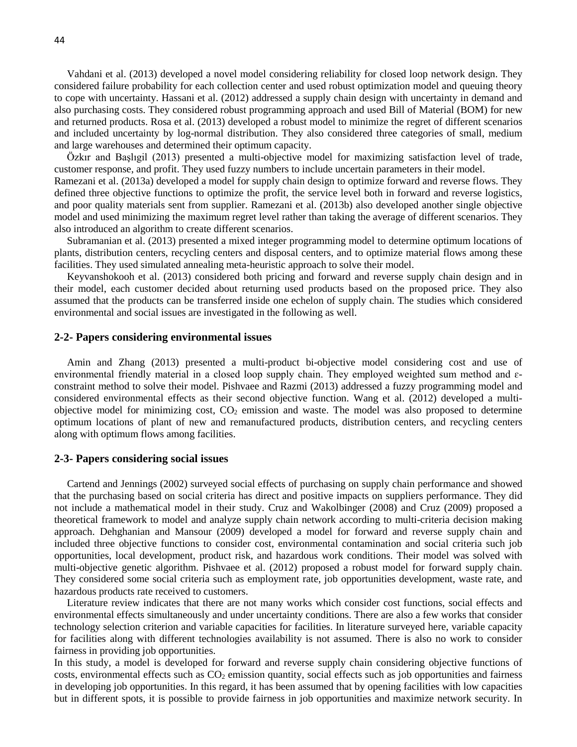Vahdani et al. (2013) developed a novel model considering reliability for closed loop network design. They considered failure probability for each collection center and used robust optimization model and queuing theory to cope with uncertainty. [Hassani et al. \(2012\)](#page-15-9) addressed a supply chain design with uncertainty in demand and also purchasing costs. They considered robust programming approach and used Bill of Material (BOM) for new and returned products. [Rosa et al. \(2013\)](#page-14-3) developed a robust model to minimize the regret of different scenarios and included uncertainty by log-normal distribution. They also considered three categories of small, medium and large warehouses and determined their optimum capacity.

[Özkır and Başlıgil \(2013\)](#page-15-10) presented a multi-objective model for maximizing satisfaction level of trade, customer response, and profit. They used fuzzy numbers to include uncertain parameters in their model.

[Ramezani et al. \(2013a\)](#page-16-4) developed a model for supply chain design to optimize forward and reverse flows. They defined three objective functions to optimize the profit, the service level both in forward and reverse logistics, and poor quality materials sent from supplier. [Ramezani et al. \(2013b\)](#page-16-5) also developed another single objective model and used minimizing the maximum regret level rather than taking the average of different scenarios. They also introduced an algorithm to create different scenarios.

[Subramanian et al. \(2013\)](#page-16-6) presented a mixed integer programming model to determine optimum locations of plants, distribution centers, recycling centers and disposal centers, and to optimize material flows among these facilities. They used simulated annealing meta-heuristic approach to solve their model.

[Keyvanshokooh et al. \(2013\)](#page-15-11) considered both pricing and forward and reverse supply chain design and in their model, each customer decided about returning used products based on the proposed price. They also assumed that the products can be transferred inside one echelon of supply chain. The studies which considered environmental and social issues are investigated in the following as well.

# **2-2- Papers considering environmental issues**

[Amin and Zhang \(2013\)](#page-14-4) presented a multi-product bi-objective model considering cost and use of environmental friendly material in a closed loop supply chain. They employed weighted sum method and ɛconstraint method to solve their model. [Pishvaee and Razmi \(2013\)](#page-15-12) addressed a fuzzy programming model and considered environmental effects as their second objective function. [Wang et al. \(2012\)](#page-16-7) developed a multiobjective model for minimizing cost,  $CO<sub>2</sub>$  emission and waste. The model was also proposed to determine optimum locations of plant of new and remanufactured products, distribution centers, and recycling centers along with optimum flows among facilities.

#### **2-3- Papers considering social issues**

[Cartend and Jennings \(2002\)](#page-14-5) surveyed social effects of purchasing on supply chain performance and showed that the purchasing based on social criteria has direct and positive impacts on suppliers performance. They did not include a mathematical model in their study. [Cruz and Wakolbinger \(2008\)](#page-14-6) and [Cruz \(2009\)](#page-14-7) proposed a theoretical framework to model and analyze supply chain network according to multi-criteria decision making approach. [Dehghanian and Mansour \(2009\)](#page-14-8) developed a model for forward and reverse supply chain and included three objective functions to consider cost, environmental contamination and social criteria such job opportunities, local development, product risk, and hazardous work conditions. Their model was solved with multi-objective genetic algorithm. [Pishvaee et al. \(2012\)](#page-16-8) proposed a robust model for forward supply chain. They considered some social criteria such as employment rate, job opportunities development, waste rate, and hazardous products rate received to customers.

Literature review indicates that there are not many works which consider cost functions, social effects and environmental effects simultaneously and under uncertainty conditions. There are also a few works that consider technology selection criterion and variable capacities for facilities. In literature surveyed here, variable capacity for facilities along with different technologies availability is not assumed. There is also no work to consider fairness in providing job opportunities.

In this study, a model is developed for forward and reverse supply chain considering objective functions of costs, environmental effects such as  $CO<sub>2</sub>$  emission quantity, social effects such as job opportunities and fairness in developing job opportunities. In this regard, it has been assumed that by opening facilities with low capacities but in different spots, it is possible to provide fairness in job opportunities and maximize network security. In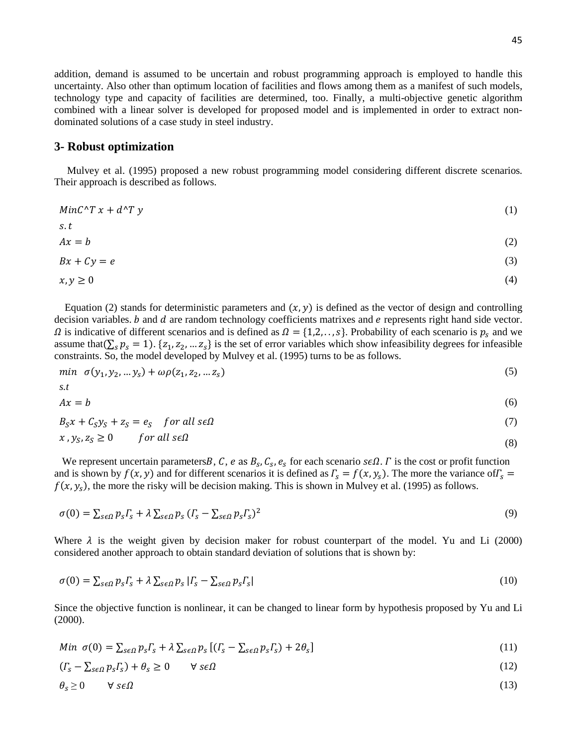addition, demand is assumed to be uncertain and robust programming approach is employed to handle this uncertainty. Also other than optimum location of facilities and flows among them as a manifest of such models, technology type and capacity of facilities are determined, too. Finally, a multi-objective genetic algorithm combined with a linear solver is developed for proposed model and is implemented in order to extract nondominated solutions of a case study in steel industry.

#### **3- Robust optimization**

[Mulvey et al. \(1995\)](#page-15-0) proposed a new robust programming model considering different discrete scenarios. Their approach is described as follows.

$$
MinC^{\wedge}Tx + d^{\wedge}Ty \tag{1}
$$

$$
s.t Ax = b
$$
 (2)

$$
Bx + Cy = e \tag{3}
$$

$$
x, y \ge 0 \tag{4}
$$

Equation (2) stands for deterministic parameters and  $(x, y)$  is defined as the vector of design and controlling decision variables.  $b$  and  $d$  are random technology coefficients matrixes and  $e$  represents right hand side vector.  $\Omega$  is indicative of different scenarios and is defined as  $\Omega = \{1, 2, \ldots, s\}$ . Probability of each scenario is  $p_s$  and we assume that( $\sum_{s} p_s = 1$ ). { $z_1, z_2, ... z_s$ } is the set of error variables which show infeasibility degrees for infeasible constraints. So, the model developed by [Mulvey et al. \(1995\)](#page-15-0) turns to be as follows.

$$
min \ \sigma(y_1, y_2, \dots y_s) + \omega \rho(z_1, z_2, \dots z_s) \tag{5}
$$

$$
s.t\n\nAx = b
$$
\n(6)

$$
B_S x + C_S y_S + z_S = e_S \quad \text{for all } s \in \Omega \tag{7}
$$

$$
x, y_S, z_S \ge 0 \qquad \text{for all } s \in \Omega
$$
\n
$$
(8)
$$

We represent uncertain parameters B, C, e as  $B_s$ , C<sub>s</sub>,  $e_s$  for each scenario  $\mathcal{se}\Omega$ .  $\Gamma$  is the cost or profit function and is shown by  $f(x, y)$  and for different scenarios it is defined as  $\Gamma_s = f(x, y_s)$ . The more the variance of  $\Gamma_s = f(x, y_s)$  $f(x, y_s)$ , the more the risky will be decision making. This is shown in [Mulvey et al. \(1995\)](#page-15-0) as follows.

$$
\sigma(0) = \sum_{s \in \Omega} p_s \Gamma_s + \lambda \sum_{s \in \Omega} p_s (\Gamma_s - \sum_{s \in \Omega} p_s \Gamma_s)^2
$$
\n(9)

Where  $\lambda$  is the weight given by decision maker for robust counterpart of the model. [Yu and Li \(2000\)](#page-16-9) considered another approach to obtain standard deviation of solutions that is shown by:

$$
\sigma(0) = \sum_{s \in \Omega} p_s \Gamma_s + \lambda \sum_{s \in \Omega} p_s |\Gamma_s - \sum_{s \in \Omega} p_s \Gamma_s| \tag{10}
$$

Since the objective function is nonlinear, it can be changed to linear form by hypothesis proposed by [Yu and Li](#page-16-9)  [\(2000\).](#page-16-9)

$$
Min \ \sigma(0) = \sum_{s \in \Omega} p_s \Gamma_s + \lambda \sum_{s \in \Omega} p_s \left[ (\Gamma_s - \sum_{s \in \Omega} p_s \Gamma_s) + 2\theta_s \right] \tag{11}
$$

$$
(I_s - \sum_{s \in \Omega} p_s I_s) + \theta_s \ge 0 \qquad \forall \ s \in \Omega
$$
\n
$$
(12)
$$

$$
\theta_s \ge 0 \qquad \forall \; s \in \Omega \tag{13}
$$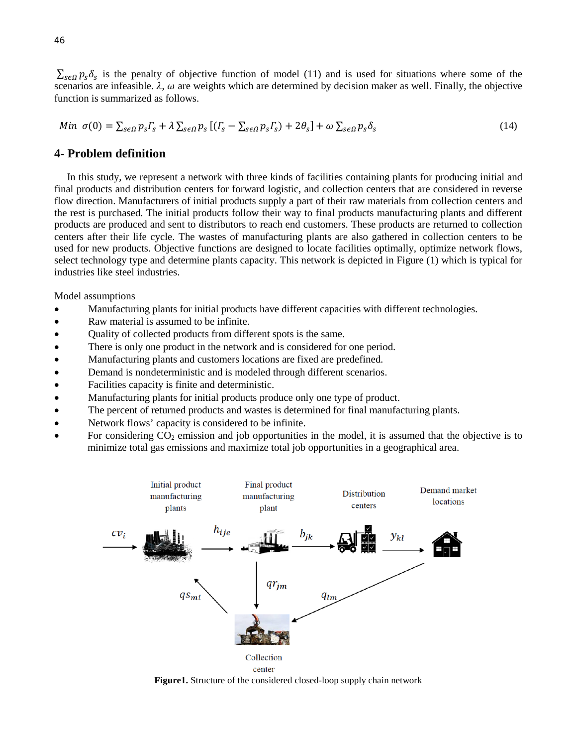$\sum_{s \in \Omega} p_s \delta_s$  is the penalty of objective function of model (11) and is used for situations where some of the scenarios are infeasible.  $\lambda$ ,  $\omega$  are weights which are determined by decision maker as well. Finally, the objective function is summarized as follows.

$$
Min \ \sigma(0) = \sum_{s \in \Omega} p_s \Gamma_s + \lambda \sum_{s \in \Omega} p_s \left[ (\Gamma_s - \sum_{s \in \Omega} p_s \Gamma_s) + 2\theta_s \right] + \omega \sum_{s \in \Omega} p_s \delta_s \tag{14}
$$

# **4- Problem definition**

In this study, we represent a network with three kinds of facilities containing plants for producing initial and final products and distribution centers for forward logistic, and collection centers that are considered in reverse flow direction. Manufacturers of initial products supply a part of their raw materials from collection centers and the rest is purchased. The initial products follow their way to final products manufacturing plants and different products are produced and sent to distributors to reach end customers. These products are returned to collection centers after their life cycle. The wastes of manufacturing plants are also gathered in collection centers to be used for new products. Objective functions are designed to locate facilities optimally, optimize network flows, select technology type and determine plants capacity. This network is depicted in Figure (1) which is typical for industries like steel industries.

Model assumptions

- Manufacturing plants for initial products have different capacities with different technologies.
- Raw material is assumed to be infinite.
- Quality of collected products from different spots is the same.
- There is only one product in the network and is considered for one period.
- Manufacturing plants and customers locations are fixed are predefined.
- Demand is nondeterministic and is modeled through different scenarios.
- Facilities capacity is finite and deterministic.
- Manufacturing plants for initial products produce only one type of product.
- The percent of returned products and wastes is determined for final manufacturing plants.
- Network flows' capacity is considered to be infinite.
- For considering  $CO_2$  emission and job opportunities in the model, it is assumed that the objective is to minimize total gas emissions and maximize total job opportunities in a geographical area.



**Figure1.** Structure of the considered closed-loop supply chain network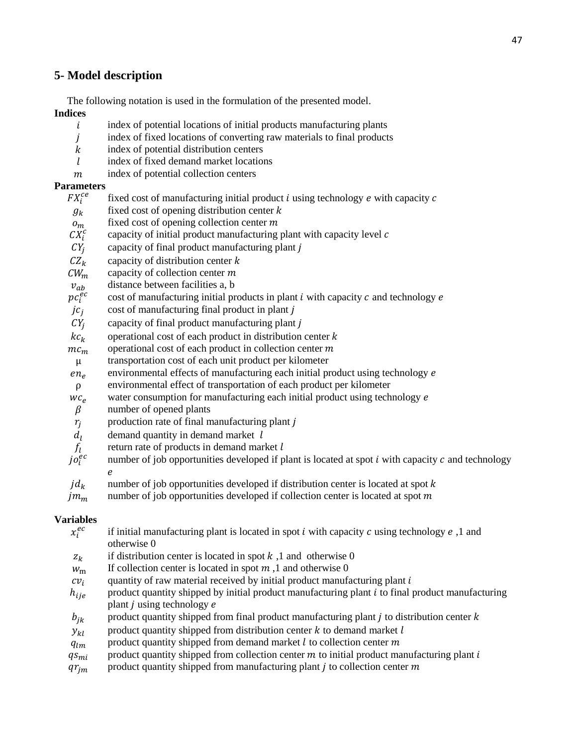# **5- Model description**

The following notation is used in the formulation of the presented model. **Indices**

- index of potential locations of initial products manufacturing plants  $\mathbf{i}$
- index of fixed locations of converting raw materials to final products index of potential distribution centers
- $k$  index of potential distribution centers  $l$  index of fixed demand market location
- index of fixed demand market locations
- $m$  index of potential collection centers

# **Parameters**

- $FX_i^{ce}$ <br> $g_k$ fixed cost of manufacturing initial product  $i$  using technology  $e$  with capacity  $c$
- $g_k$  fixed cost of opening distribution center  $k$ <br>fixed cost of opening collection center  $m$
- $\sigma_m$  fixed cost of opening collection center m<br>CX<sup>c</sup> capacity of initial product manufacturing
- capacity of initial product manufacturing plant with capacity level  $c$
- $CY_i$  $CY_j$  capacity of final product manufacturing plant j<br> $CZ_k$  capacity of distribution center k
- 
- $CZ_k$  capacity of distribution center k<br>CW<sub>m</sub> capacity of collection center m
- $CW_m$  capacity of collection center m<br> $v_{ab}$  distance between facilities a, b
- $v_{ab}$  distance between facilities a, b<br>  $pc_i^{ec}$  cost of manufacturing initial pr  $pc_i^{ec}$  cost of manufacturing initial products in plant *i* with capacity *c* and technology *e jc<sub>i</sub>* cost of manufacturing final product in plant *j*
- $jc_j$  cost of manufacturing final product in plant j<br> $CY_i$  capacity of final product manufacturing plant
- 
- $CY_j$  capacity of final product manufacturing plant j<br>kc<sub>k</sub> operational cost of each product in distribution
- $kc_k$  operational cost of each product in distribution center *k* operational cost of each product in collection center *m*  $nc_m$  operational cost of each product in collection center m<br>  $\mu$  transportation cost of each unit product per kilometer
- $μ$  transportation cost of each unit product per kilometer en<sub>e</sub> environmental effects of manufacturing each initial pr
- environmental effects of manufacturing each initial product using technology e
- $ρ$  environmental effect of transportation of each product per kilometer  $w c_e$  water consumption for manufacturing each initial product using tech
- $wc_e$  water consumption for manufacturing each initial product using technology *e* number of opened plants
- $\beta$  number of opened plants<br>  $r_i$  production rate of final m
- $r_j$  production rate of final manufacturing plant j<br>  $d_l$  demand quantity in demand market l
- 
- return rate of products in demand market  $l$
- $d_l$  demand quantity in demand market l<br>  $f_l$  return rate of products in demand mark<br>  $j\sigma_l^{ec}$  number of job opportunities developed number of job opportunities developed if plant is located at spot  $i$  with capacity  $c$  and technology  $\boldsymbol{e}$
- $jd_k$  number of job opportunities developed if distribution center is located at spot k number of job opportunities developed if collection center is located at spot m
- number of job opportunities developed if collection center is located at spot  $m$

### **Variables**

| $x_i^{ec}$  | if initial manufacturing plant is located in spot i with capacity c using technology $e$ , 1 and   |
|-------------|----------------------------------------------------------------------------------------------------|
|             | otherwise 0                                                                                        |
| $Z_k$       | if distribution center is located in spot $k$ , 1 and otherwise 0                                  |
| $W_{\rm m}$ | If collection center is located in spot $m$ , 1 and otherwise 0                                    |
| $cv_i$      | quantity of raw material received by initial product manufacturing plant i                         |
| $h_{ije}$   | product quantity shipped by initial product manufacturing plant $i$ to final product manufacturing |
|             | plant $j$ using technology $e$                                                                     |
| $b_{jk}$    | product quantity shipped from final product manufacturing plant $j$ to distribution center $k$     |
| $y_{kl}$    | product quantity shipped from distribution center $k$ to demand market $l$                         |
| $q_{lm}$    | product quantity shipped from demand market $l$ to collection center $m$                           |
| $q_{smi}$   | product quantity shipped from collection center $m$ to initial product manufacturing plant $i$     |
| $qr_{jm}$   | product quantity shipped from manufacturing plant $j$ to collection center $m$                     |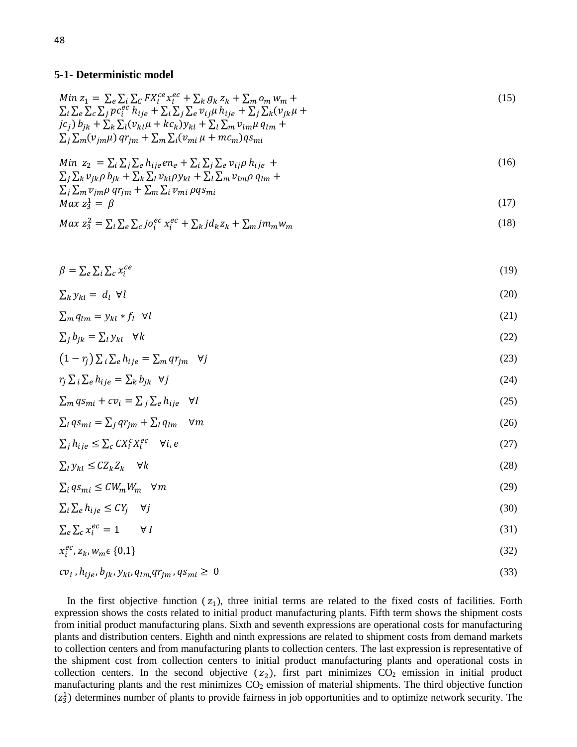## **5-1- Deterministic model**

$$
Min z_1 = \sum_{e} \sum_{i} \sum_{C} FX_i^{ce} x_i^{ec} + \sum_{k} g_k z_k + \sum_{m} o_m w_m +
$$
  
\n
$$
\sum_{i} \sum_{e} \sum_{C} \sum_{j} pc_i^{ec} h_{ije} + \sum_{i} \sum_{j} \sum_{e} v_{ij\mu} h_{ije} + \sum_{j} \sum_{k} (v_{jk}\mu +
$$
  
\n
$$
jc_j) b_{jk} + \sum_{k} \sum_{l} (v_{kl}\mu + kc_k) y_{kl} + \sum_{l} \sum_{m} v_{lm}\mu q_{lm} +
$$
  
\n
$$
\sum_{j} \sum_{m} (v_{jm}\mu) q r_{jm} + \sum_{m} \sum_{i} (v_{mi}\mu + mc_m) q s_{mi}
$$
\n(15)

$$
\begin{aligned}\n\text{Min } z_2 &= \sum_i \sum_j \sum_e h_{ij} e n_e + \sum_i \sum_j \sum_e v_{ij} \rho h_{ij} e + \\
\sum_j \sum_k v_{jk} \rho b_{jk} + \sum_k \sum_l v_{kl} \rho y_{kl} + \sum_l \sum_m v_{lm} \rho q_{lm} +\n\end{aligned} \tag{16}
$$

$$
\sum_{j} \sum_{m} v_{jm} \rho \, q r_{jm} + \sum_{m} \sum_{i} v_{mi} \, \rho q s_{mi}
$$
\n
$$
Max \, z_3^1 = \beta \tag{17}
$$

$$
Max\ z_3^2 = \sum_i \sum_e \sum_c j o_i^{ec} x_i^{ec} + \sum_k j d_k z_k + \sum_m j m_m w_m \tag{18}
$$

$$
\beta = \sum_{e} \sum_{i} \sum_{c} x_i^{ce} \tag{19}
$$

$$
\sum_{k} y_{kl} = d_l \ \forall l \tag{20}
$$

$$
\sum_{m} q_{lm} = y_{kl} * f_l \quad \forall l \tag{21}
$$

$$
\sum_{j} b_{jk} = \sum_{l} y_{kl} \quad \forall k \tag{22}
$$

$$
(1 - r_j) \sum_{i} \sum_{e} h_{ij} = \sum_{m} q r_{jm} \quad \forall j
$$
 (23)

$$
r_j \sum_{i} \sum_{e} h_{ije} = \sum_{k} b_{jk} \quad \forall j \tag{24}
$$

$$
\sum_{m} q s_{mi} + c v_i = \sum_{j} \sum_{e} h_{ij} e \quad \forall I
$$
\n<sup>(25)</sup>

$$
\sum_{i} q s_{mi} = \sum_{j} q r_{jm} + \sum_{l} q_{lm} \quad \forall m
$$
\n(26)

$$
\sum_{j} h_{ij} e \leq \sum_{c} C X_i^c X_i^{ec} \quad \forall i, e
$$
\n
$$
(27)
$$

$$
\sum_{l} y_{kl} \le C Z_k Z_k \quad \forall k \tag{28}
$$

$$
\sum_{i} q s_{mi} \le C W_m W_m \quad \forall m \tag{29}
$$

$$
\sum_{i} \sum_{e} h_{ije} \le C Y_j \quad \forall j \tag{30}
$$

$$
\sum_{e} \sum_{c} x_i^{ec} = 1 \qquad \forall I \tag{31}
$$

$$
x_i^{ec}, z_k, w_m \in \{0, 1\} \tag{32}
$$

$$
cv_i, h_{ije}, b_{jk}, y_{kl}, q_{lm}, q_{jm}, q_{mi} \ge 0
$$
\n
$$
(33)
$$

In the first objective function  $(z_1)$ , three initial terms are related to the fixed costs of facilities. Forth expression shows the costs related to initial product manufacturing plants. Fifth term shows the shipment costs from initial product manufacturing plans. Sixth and seventh expressions are operational costs for manufacturing plants and distribution centers. Eighth and ninth expressions are related to shipment costs from demand markets to collection centers and from manufacturing plants to collection centers. The last expression is representative of the shipment cost from collection centers to initial product manufacturing plants and operational costs in collection centers. In the second objective  $(z_2)$ , first part minimizes  $CO_2$  emission in initial product manufacturing plants and the rest minimizes  $CO<sub>2</sub>$  emission of material shipments. The third objective function  $(z_3^1)$  determines number of plants to provide fairness in job opportunities and to optimize network security. The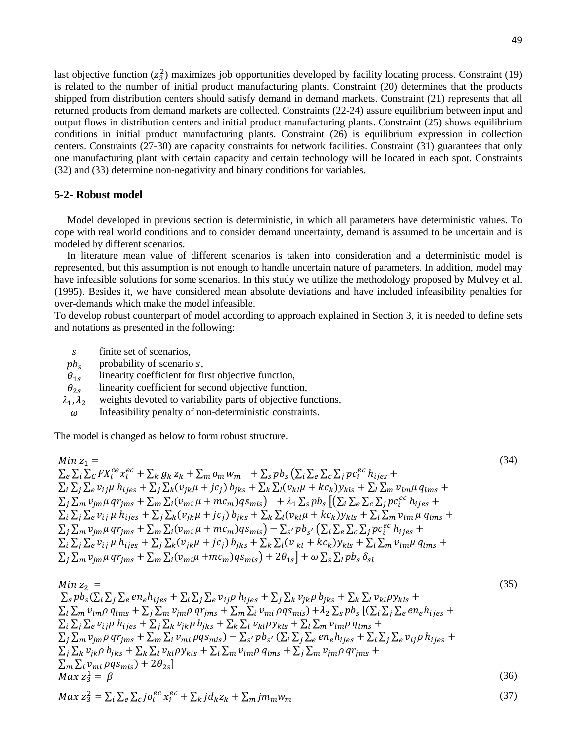last objective function  $(z_3^2)$  maximizes job opportunities developed by facility locating process. Constraint (19) is related to the number of initial product manufacturing plants. Constraint (20) determines that the products shipped from distribution centers should satisfy demand in demand markets. Constraint (21) represents that all returned products from demand markets are collected. Constraints (22-24) assure equilibrium between input and output flows in distribution centers and initial product manufacturing plants. Constraint (25) shows equilibrium conditions in initial product manufacturing plants. Constraint (26) is equilibrium expression in collection centers. Constraints (27-30) are capacity constraints for network facilities. Constraint (31) guarantees that only one manufacturing plant with certain capacity and certain technology will be located in each spot. Constraints (32) and (33) determine non-negativity and binary conditions for variables.

#### **5-2- Robust model**

Model developed in previous section is deterministic, in which all parameters have deterministic values. To cope with real world conditions and to consider demand uncertainty, demand is assumed to be uncertain and is modeled by different scenarios.

In literature mean value of different scenarios is taken into consideration and a deterministic model is represented, but this assumption is not enough to handle uncertain nature of parameters. In addition, model may have infeasible solutions for some scenarios. In this study we utilize the methodology proposed by [Mulvey et al.](#page-15-0)  [\(1995\).](#page-15-0) Besides it, we have considered mean absolute deviations and have included infeasibility penalties for over-demands which make the model infeasible.

To develop robust counterpart of model according to approach explained in Section 3, it is needed to define sets and notations as presented in the following:

- $s$  finite set of scenarios,<br>  $pb_s$  probability of scenario
- 
- $pb_s$  probability of scenario *s*,<br> $\theta_{1s}$  linearity coefficient for fi  $\theta_{1s}$  linearity coefficient for first objective function,<br> $\theta_{2s}$  linearity coefficient for second objective function
- 
- $\theta_{2s}$  linearity coefficient for second objective function,<br> $\lambda_1, \lambda_2$  weights devoted to variability parts of objective fu  $\lambda_1$ ,  $\lambda_2$  weights devoted to variability parts of objective functions,<br>  $\omega$  Infeasibility penalty of non-deterministic constraints.
- Infeasibility penalty of non-deterministic constraints.

The model is changed as below to form robust structure.

Min 
$$
z_1 =
$$
  
\n
$$
\sum_{e} \sum_{i} \sum_{C} FX_{i}^{ce} x_{i}^{ec} + \sum_{k} g_{k} z_{k} + \sum_{m} o_{m} w_{m} + \sum_{s} pb_{s} (\sum_{i} \sum_{e} \sum_{C} \sum_{j} pc_{i}^{ec} h_{ijes} +
$$
\n
$$
\sum_{i} \sum_{j} \sum_{e} v_{ij} \mu h_{ijes} + \sum_{j} \sum_{k} (v_{jk} \mu + jc_{j}) b_{jks} + \sum_{k} \sum_{l} (v_{kl} \mu + kc_{k}) y_{kls} + \sum_{l} \sum_{m} v_{lm} \mu q_{lms} +
$$
\n
$$
\sum_{j} \sum_{m} v_{jm} \mu q r_{jms} + \sum_{m} \sum_{i} (v_{mi} \mu + mc_{m}) q s_{mis}) + \lambda_{1} \sum_{s} pb_{s} [(\sum_{i} \sum_{e} \sum_{C} \sum_{j} pc_{i}^{ec} h_{ijes} +
$$
\n
$$
\sum_{i} \sum_{j} \sum_{e} v_{ij} \mu h_{ijes} + \sum_{j} \sum_{k} (v_{jk} \mu + jc_{j}) b_{jks} + \sum_{k} \sum_{l} (v_{kl} \mu + kc_{k}) y_{kls} + \sum_{l} \sum_{m} v_{lm} \mu q_{lms} +
$$
\n
$$
\sum_{j} \sum_{m} v_{jm} \mu q r_{jms} + \sum_{m} \sum_{i} (v_{mi} \mu + mc_{m}) q s_{mis}) - \sum_{s'} pb_{s'} (\sum_{i} \sum_{e} \sum_{c} \sum_{j} pc_{i}^{ec} h_{ijes} +
$$
\n
$$
\sum_{i} \sum_{j} \sum_{e} v_{ij} \mu h_{ijes} + \sum_{j} \sum_{k} (v_{jk} \mu + jc_{j}) b_{jks} + \sum_{k} \sum_{l} (v_{kl} + kc_{k}) y_{kls} + \sum_{l} \sum_{m} v_{lm} \mu q_{lms} +
$$
\n
$$
\sum_{j} \sum_{m} v_{jm} \mu q r_{jms} + \sum_{m} \sum_{i} (v_{mi} \mu + mc_{m}) q s_{mis}) + 2 \theta_{1s} + \omega \sum_{s} \sum_{l} pb_{s} \delta_{sl}
$$
\n(34

$$
\begin{split}\n\text{Min } z_{2} &= \\
\sum_{S} pb_{S} (\sum_{i} \sum_{j} \sum_{e} en_{e} h_{ijes} + \sum_{i} \sum_{j} \sum_{e} v_{ij} \rho \ h_{ijes} + \sum_{j} \sum_{k} v_{jk} \rho \ b_{jks} + \sum_{k} \sum_{l} v_{kl} \rho y_{kls} + \\
\sum_{l} \sum_{m} v_{lm} \rho \ q_{lms} + \sum_{j} \sum_{m} v_{jm} \rho \ q r_{jms} + \sum_{m} \sum_{i} v_{mi} \rho q s_{mis} + \lambda_{2} \sum_{S} p b_{S} \left[ (\sum_{i} \sum_{j} \sum_{e} en_{e} h_{ijes} + \\
\sum_{i} \sum_{j} \sum_{e} v_{ij} \rho \ h_{ijes} + \sum_{j} \sum_{k} v_{jk} \rho \ b_{jks} + \sum_{k} \sum_{l} v_{kl} \rho y_{kls} + \sum_{l} \sum_{m} v_{lm} \rho \ q_{lms} + \\
\sum_{j} \sum_{m} v_{jm} \rho \ q r_{jms} + \sum_{m} \sum_{i} v_{mi} \rho q s_{mis} - \sum_{s'} p b_{s'} (\sum_{i} \sum_{j} \sum_{e} en_{e} h_{ijes} + \sum_{i} \sum_{j} \sum_{e} v_{ij} \rho \ h_{ijes} + \\
\sum_{j} \sum_{k} v_{jk} \rho \ b_{jks} + \sum_{k} \sum_{l} v_{kl} \rho y_{kls} + \sum_{l} \sum_{m} v_{lm} \rho \ q r_{jms} + \\
\sum_{m} \sum_{i} v_{mi} \rho q s_{mis} + 2 \theta_{2s} \right] \\
\text{Max } z_{3}^{1} &= \beta \tag{36} \\
\text{Max } z_{3}^{2} &= \sum_{i} \sum_{e} \sum_{j} o_{i}^{ec} x_{i}^{ec} + \sum_{k} j d_{k} z_{k} + \sum_{m} j m_{m} w_{m} \tag{37}\n\end{split}
$$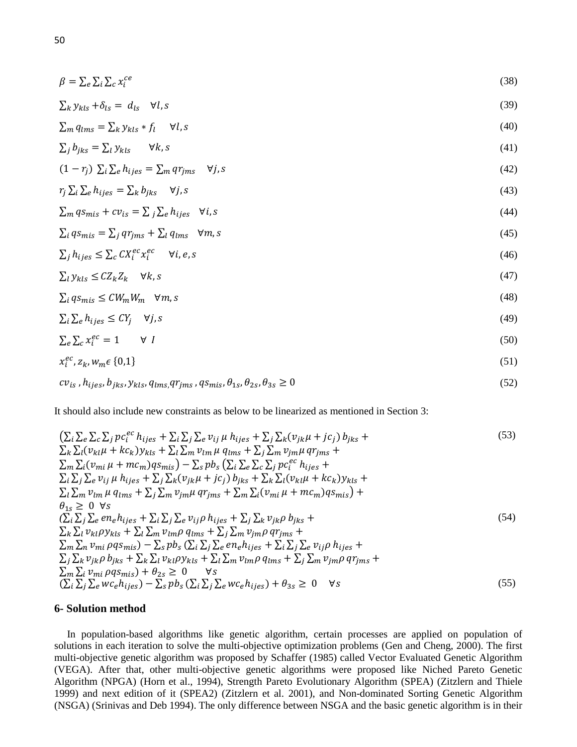$$
\beta = \sum_{e} \sum_{i} \sum_{c} x_i^{ce} \tag{38}
$$

$$
\sum_{k} y_{kls} + \delta_{ls} = d_{ls} \quad \forall l, s \tag{39}
$$

$$
\sum_{m} q_{lms} = \sum_{k} y_{kls} * f_l \quad \forall l, s \tag{40}
$$

$$
\sum_{j} b_{jks} = \sum_{l} y_{kls} \qquad \forall k, s \tag{41}
$$

$$
(1 - r_j) \sum_{i} \sum_{e} h_{ijes} = \sum_{m} qr_{jms} \quad \forall j, s \tag{42}
$$

$$
r_j \sum_i \sum_e h_{ijes} = \sum_k b_{jks} \quad \forall j, s \tag{43}
$$

$$
\sum_{m} q s_{mis} + c v_{is} = \sum_{j} \sum_{e} h_{ijes} \quad \forall i, s \tag{44}
$$

$$
\sum_{i} q s_{mis} = \sum_{j} q r_{jms} + \sum_{l} q_{lms} \quad \forall m, s \tag{45}
$$

$$
\sum_{j} h_{ijes} \leq \sum_{c} C X_i^{ec} x_i^{ec} \quad \forall i, e, s
$$
\n
$$
(46)
$$

$$
\sum_{l} y_{kls} \le C Z_k Z_k \quad \forall k, s \tag{47}
$$

$$
\sum_{i} q s_{mis} \le C W_m W_m \quad \forall m, s \tag{48}
$$

$$
\sum_{i} \sum_{e} h_{ijes} \le C Y_j \quad \forall j, s \tag{49}
$$

$$
\sum_{e} \sum_{c} x_i^{ec} = 1 \qquad \forall \ I \tag{50}
$$

$$
x_i^{ec}, z_k, w_m \in \{0, 1\} \tag{51}
$$

$$
cv_{is}, h_{ijes}, b_{jks}, y_{kls}, q_{lms}, qr_{jms}, qs_{mis}, \theta_{1s}, \theta_{2s}, \theta_{3s} \ge 0
$$
\n
$$
(52)
$$

It should also include new constraints as below to be linearized as mentioned in Section 3:

$$
\left(\sum_{i}\sum_{e}\sum_{c}\sum_{j}pc_{i}^{ec}h_{ijes}+\sum_{i}\sum_{j}\sum_{e}v_{ij}\mu h_{ijes}+\sum_{j}\sum_{k}(v_{jk}\mu+jc_{j})b_{jks}+\right.\newline\sum_{k}\sum_{l}(v_{kl}\mu+kc_{k})y_{kls}+\sum_{l}\sum_{m}v_{lm}\mu q_{lms}+\sum_{j}\sum_{m}v_{jm}\mu qr_{jms}+\right.\newline\sum_{m}\sum_{i}(v_{mi}\mu+mc_{m})qs_{mis})-\sum_{s}pb_{s}\left(\sum_{i}\sum_{e}\sum_{c}\sum_{j}pc_{i}^{ec}h_{ijes}+\right.\newline\sum_{i}\sum_{j}\sum_{e}v_{ij}\mu h_{ijes}+\sum_{j}\sum_{k}(v_{jk}\mu+jc_{j})b_{jks}+\sum_{k}\sum_{l}(v_{kl}\mu+kc_{k})y_{kls}+\right.\newline\sum_{l}\sum_{m}v_{lm}\mu q_{lms}+\sum_{j}\sum_{m}v_{jm}\mu qr_{jms}+\sum_{m}\sum_{i}(v_{mi}\mu+mc_{m})qs_{mis})+\newline\theta_{1s}\geq 0 \forall s\n\left(\sum_{i}\sum_{j}\sum_{e}en_{e}h_{ijes}+\sum_{i}\sum_{j}\sum_{e}v_{ij}\rho h_{ijes}+\sum_{j}\sum_{m}v_{jm}\rho qr_{jms}+\right.\newline\sum_{m}\sum_{l}v_{kl}\rho y_{kls}+\sum_{l}\sum_{m}v_{lm}\rho q_{lms}+\sum_{j}\sum_{m}v_{jm}\rho qr_{jms}+\right.\newline\sum_{m}\sum_{n}v_{mi}\rho qs_{mis})-\sum_{s}pb_{s}\left(\sum_{i}\sum_{j}\sum_{e}en_{e}h_{ijes}+\sum_{i}\sum_{j}\sum_{e}v_{ij}\rho h_{ijes}+\right.\newline\sum_{j}\sum_{k}v_{jk}\rho b_{jks}+\sum_{k}\sum_{l}v_{kl}\rho y_{kls}+\sum_{l}\sum_{m}v_{lm}\rho qr_{jms}+\right.\newline\sum_{m}\sum_{i}v_{mi}\rho qs_{mis})+\theta_{2s}\geq 0 \forall s\n\left(\sum_{i}\sum_{j}\sum_{e}wc_{e}h_{ijes})+\theta_{3s}\geq 0 \forall s\n\tag{55}
$$

# **6- Solution method**

In population-based algorithms like genetic algorithm, certain processes are applied on population of solutions in each iteration to solve the multi-objective optimization problems [\(Gen and Cheng, 2000\).](#page-15-13) The first multi-objective genetic algorithm was proposed by Schaffer [\(1985\)](#page-16-10) called Vector Evaluated Genetic Algorithm (VEGA). After that, other multi-objective genetic algorithms were proposed like Niched Pareto Genetic Algorithm (NPGA) [\(Horn et al., 1994\)](#page-15-14), Strength Pareto Evolutionary Algorithm (SPEA) [\(Zitzlern and Thiele](#page-16-11)  [1999\)](#page-16-11) and next edition of it (SPEA2) [\(Zitzlern et al. 2001\),](#page-16-12) and Non-dominated Sorting Genetic Algorithm (NSGA) [\(Srinivas and Deb 1994\)](#page-16-13). The only difference between NSGA and the basic genetic algorithm is in their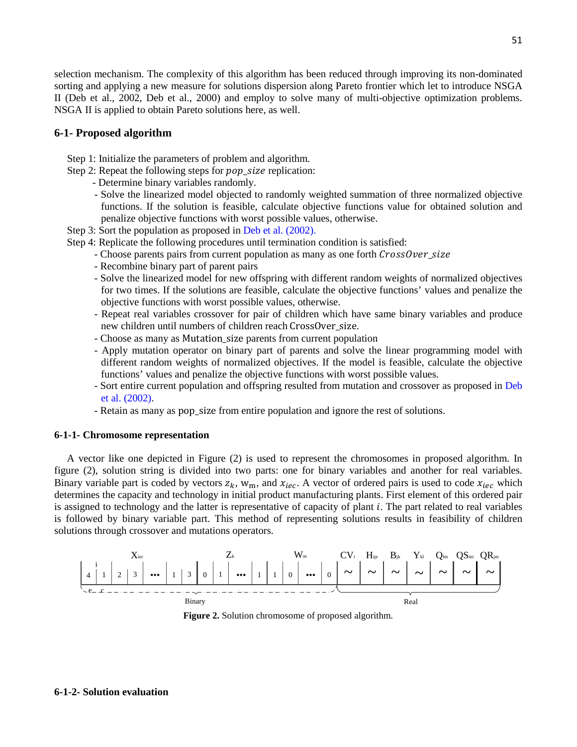selection mechanism. The complexity of this algorithm has been reduced through improving its non-dominated sorting and applying a new measure for solutions dispersion along Pareto frontier which let to introduce NSGA II [\(Deb et al.,](#page-14-9) 2002, [Deb et al., 2000\)](#page-14-10) and employ to solve many of multi-objective optimization problems. NSGA II is applied to obtain Pareto solutions here, as well.

# **6-1- Proposed algorithm**

- Step 1: Initialize the parameters of problem and algorithm.
- Step 2: Repeat the following steps for *pop\_size* replication:
	- Determine binary variables randomly.
	- Solve the linearized model objected to randomly weighted summation of three normalized objective functions. If the solution is feasible, calculate objective functions value for obtained solution and penalize objective functions with worst possible values, otherwise.
- Step 3: Sort the population as proposed in [Deb et al. \(2002\).](#page-14-9)
- Step 4: Replicate the following procedures until termination condition is satisfied:
	- Choose parents pairs from current population as many as one forth CrossOver\_size
	- Recombine binary part of parent pairs
	- Solve the linearized model for new offspring with different random weights of normalized objectives for two times. If the solutions are feasible, calculate the objective functions' values and penalize the objective functions with worst possible values, otherwise.
	- Repeat real variables crossover for pair of children which have same binary variables and produce new children until numbers of children reach CrossOver\_size.
	- Choose as many as Mutation\_size parents from current population
	- Apply mutation operator on binary part of parents and solve the linear programming model with different random weights of normalized objectives. If the model is feasible, calculate the objective functions' values and penalize the objective functions with worst possible values.
	- Sort entire current population and offspring resulted from mutation and crossover as proposed in [Deb](#page-14-10)  [et al. \(2002\)](#page-14-10).
	- Retain as many as pop\_size from entire population and ignore the rest of solutions.

#### **6-1-1- Chromosome representation**

A vector like one depicted in Figure (2) is used to represent the chromosomes in proposed algorithm. In figure (2), solution string is divided into two parts: one for binary variables and another for real variables. Binary variable part is coded by vectors  $z_k$ , w<sub>m</sub>, and  $x_{\text{dec}}$ . A vector of ordered pairs is used to code  $x_{\text{dec}}$  which determines the capacity and technology in initial product manufacturing plants. First element of this ordered pair is assigned to technology and the latter is representative of capacity of plant  $i$ . The part related to real variables is followed by binary variable part. This method of representing solutions results in feasibility of children solutions through crossover and mutations operators.



**Figure 2.** Solution chromosome of proposed algorithm.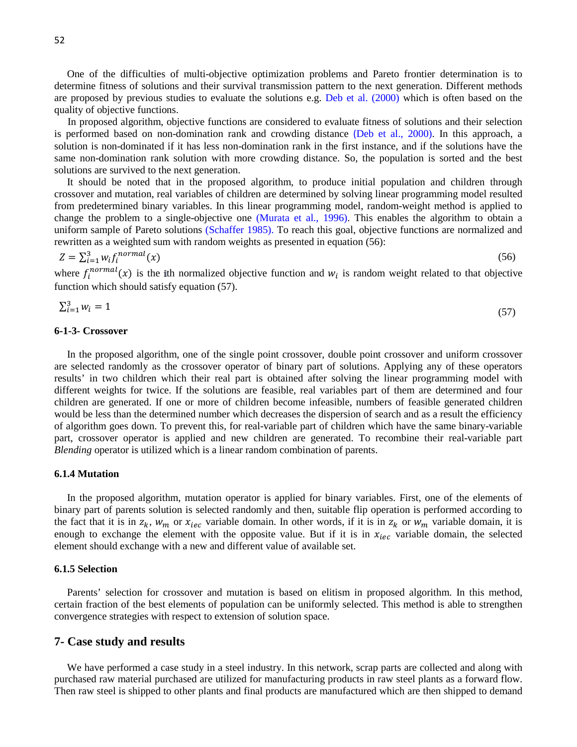One of the difficulties of multi-objective optimization problems and Pareto frontier determination is to determine fitness of solutions and their survival transmission pattern to the next generation. Different methods are proposed by previous studies to evaluate the solutions e.g. [Deb et al. \(2000\)](#page-14-10) which is often based on the quality of objective functions.

In proposed algorithm, objective functions are considered to evaluate fitness of solutions and their selection is performed based on non-domination rank and crowding distance ([Deb et al., 2000\).](#page-14-10) In this approach, a solution is non-dominated if it has less non-domination rank in the first instance, and if the solutions have the same non-domination rank solution with more crowding distance. So, the population is sorted and the best solutions are survived to the next generation.

It should be noted that in the proposed algorithm, to produce initial population and children through crossover and mutation, real variables of children are determined by solving linear programming model resulted from predetermined binary variables. In this linear programming model, random-weight method is applied to change the problem to a single-objective one [\(Murata et al., 1996\).](#page-15-10) This enables the algorithm to obtain a uniform sample of Pareto solutions [\(Schaffer 1985\).](#page-16-10) To reach this goal, objective functions are normalized and rewritten as a weighted sum with random weights as presented in equation (56):

$$
Z = \sum_{i=1}^{3} w_i f_i^{normal}(x) \tag{56}
$$

where  $f_i^{normal}(x)$  is the ith normalized objective function and  $w_i$  is random weight related to that objective function which should satisfy equation (57).

$$
\sum_{i=1}^{3} w_i = 1 \tag{57}
$$

#### **6-1-3- Crossover**

In the proposed algorithm, one of the single point crossover, double point crossover and uniform crossover are selected randomly as the crossover operator of binary part of solutions. Applying any of these operators results' in two children which their real part is obtained after solving the linear programming model with different weights for twice. If the solutions are feasible, real variables part of them are determined and four children are generated. If one or more of children become infeasible, numbers of feasible generated children would be less than the determined number which decreases the dispersion of search and as a result the efficiency of algorithm goes down. To prevent this, for real-variable part of children which have the same binary-variable part, crossover operator is applied and new children are generated. To recombine their real-variable part *Blending* operator is utilized which is a linear random combination of parents.

#### **6.1.4 Mutation**

In the proposed algorithm, mutation operator is applied for binary variables. First, one of the elements of binary part of parents solution is selected randomly and then, suitable flip operation is performed according to the fact that it is in  $z_k$ ,  $w_m$  or  $x_{\text{dec}}$  variable domain. In other words, if it is in  $z_k$  or  $w_m$  variable domain, it is enough to exchange the element with the opposite value. But if it is in  $x_{\text{dec}}$  variable domain, the selected element should exchange with a new and different value of available set.

#### **6.1.5 Selection**

Parents' selection for crossover and mutation is based on elitism in proposed algorithm. In this method, certain fraction of the best elements of population can be uniformly selected. This method is able to strengthen convergence strategies with respect to extension of solution space.

## **7- Case study and results**

We have performed a case study in a steel industry. In this network, scrap parts are collected and along with purchased raw material purchased are utilized for manufacturing products in raw steel plants as a forward flow. Then raw steel is shipped to other plants and final products are manufactured which are then shipped to demand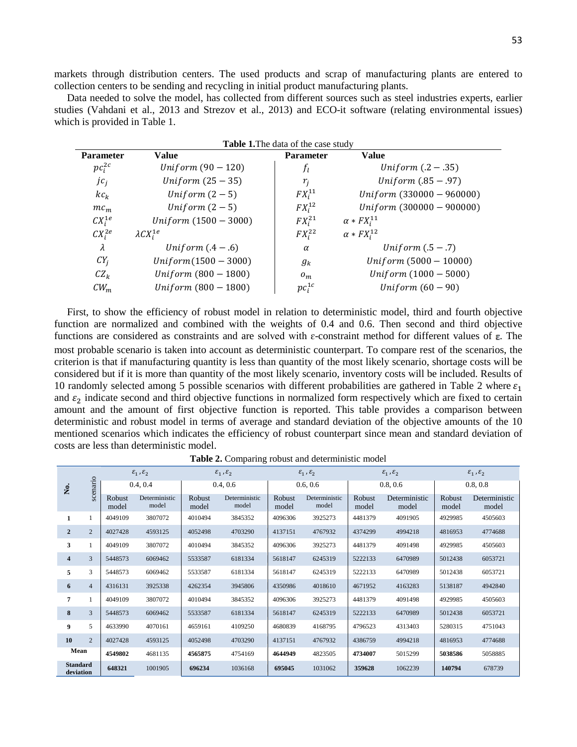markets through distribution centers. The used products and scrap of manufacturing plants are entered to collection centers to be sending and recycling in initial product manufacturing plants.

Data needed to solve the model, has collected from different sources such as steel industries experts, earlier studies (Vahdani et al., 2013 and [Strezov et al., 2013\)](#page-16-14) and ECO-it software (relating environmental issues) which is provided in Table 1.

| <b>Table 1.</b> The data of the case study |                             |                  |                               |  |  |  |  |  |  |
|--------------------------------------------|-----------------------------|------------------|-------------------------------|--|--|--|--|--|--|
| <b>Parameter</b>                           | Value                       | <b>Parameter</b> | Value                         |  |  |  |  |  |  |
| $pc_i^{2c}$                                | <i>Uniform</i> $(90 - 120)$ | $f_l$            | <i>Uniform</i> $(0.2 - 0.35)$ |  |  |  |  |  |  |
| jc <sub>i</sub>                            | Uniform $(25-35)$           | $r_i$            | <i>Uniform</i> $(.85 - .97)$  |  |  |  |  |  |  |
| $kc_k$                                     | Uniform $(2-5)$             | $FX_i^{11}$      | $Uniform (330000 - 960000)$   |  |  |  |  |  |  |
| $mc_m$                                     | Uniform $(2-5)$             | $FX_i^{12}$      | $Uniform (300000 - 900000)$   |  |  |  |  |  |  |
| $CX_i^{1e}$                                | Uniform $(1500 - 3000)$     | $FX_i^{21}$      | $\alpha * FX_i^{11}$          |  |  |  |  |  |  |
| $CX_i^{2e}$                                | $\lambda CX_i^{1e}$         | $FX_i^{22}$      | $\alpha * FX_i^{12}$          |  |  |  |  |  |  |
| λ                                          | Uniform $(4-6)$             | $\alpha$         | Uniform $(.5 - .7)$           |  |  |  |  |  |  |
| $CY_i$                                     | $Uniform(1500 - 3000)$      | $g_k$            | Uniform $(5000 - 10000)$      |  |  |  |  |  |  |
| $CZ_k$                                     | Uniform $(800 - 1800)$      | $o_m$            | Uniform $(1000 - 5000)$       |  |  |  |  |  |  |
| $CW_m$                                     | Uniform $(800 - 1800)$      | $pc_i^{1c}$      | Uniform $(60 - 90)$           |  |  |  |  |  |  |

First, to show the efficiency of robust model in relation to deterministic model, third and fourth objective function are normalized and combined with the weights of 0.4 and 0.6. Then second and third objective functions are considered as constraints and are solved with  $\varepsilon$ -constraint method for different values of  $\varepsilon$ . The most probable scenario is taken into account as deterministic counterpart. To compare rest of the scenarios, the criterion is that if manufacturing quantity is less than quantity of the most likely scenario, shortage costs will be considered but if it is more than quantity of the most likely scenario, inventory costs will be included. Results of 10 randomly selected among 5 possible scenarios with different probabilities are gathered in Table 2 where  $\varepsilon_1$ and  $\varepsilon_2$  indicate second and third objective functions in normalized form respectively which are fixed to certain amount and the amount of first objective function is reported. This table provides a comparison between deterministic and robust model in terms of average and standard deviation of the objective amounts of the 10 mentioned scenarios which indicates the efficiency of robust counterpart since mean and standard deviation of costs are less than deterministic model.

|                              |                | $\mathcal{E}_1$ , $\mathcal{E}_2$ |                        | $\mathcal{E}_1$ , $\mathcal{E}_2$ |                        | $\mathcal{E}_1$ , $\mathcal{E}_2$ |                        | $\varepsilon_1$ , $\varepsilon_2$ |                        | $\mathcal{E}_1$ , $\mathcal{E}_2$ |                        |
|------------------------------|----------------|-----------------------------------|------------------------|-----------------------------------|------------------------|-----------------------------------|------------------------|-----------------------------------|------------------------|-----------------------------------|------------------------|
| Š.                           | scenario       | 0.4, 0.4                          |                        | 0.4, 0.6                          |                        | 0.6, 0.6                          |                        | 0.8, 0.6                          |                        | 0.8, 0.8                          |                        |
|                              |                | Robust<br>model                   | Deterministic<br>model | Robust<br>model                   | Deterministic<br>model | Robust<br>model                   | Deterministic<br>model | Robust<br>model                   | Deterministic<br>model | Robust<br>model                   | Deterministic<br>model |
| 1                            |                | 4049109                           | 3807072                | 4010494                           | 3845352                | 4096306                           | 3925273                | 4481379                           | 4091905                | 4929985                           | 4505603                |
| $\overline{2}$               | $\overline{2}$ | 4027428                           | 4593125                | 4052498                           | 4703290                | 4137151                           | 4767932                | 4374299                           | 4994218                | 4816953                           | 4774688                |
| 3                            |                | 4049109                           | 3807072                | 4010494                           | 3845352                | 4096306                           | 3925273                | 4481379                           | 4091498                | 4929985                           | 4505603                |
| $\overline{\mathbf{4}}$      | 3              | 5448573                           | 6069462                | 5533587                           | 6181334                | 5618147                           | 6245319                | 5222133                           | 6470989                | 5012438                           | 6053721                |
| 5                            | 3              | 5448573                           | 6069462                | 5533587                           | 6181334                | 5618147                           | 6245319                | 5222133                           | 6470989                | 5012438                           | 6053721                |
| 6                            | $\overline{4}$ | 4316131                           | 3925338                | 4262354                           | 3945806                | 4350986                           | 4018610                | 4671952                           | 4163283                | 5138187                           | 4942840                |
| 7                            |                | 4049109                           | 3807072                | 4010494                           | 3845352                | 4096306                           | 3925273                | 4481379                           | 4091498                | 4929985                           | 4505603                |
| 8                            | 3              | 5448573                           | 6069462                | 5533587                           | 6181334                | 5618147                           | 6245319                | 5222133                           | 6470989                | 5012438                           | 6053721                |
| 9                            | 5              | 4633990                           | 4070161                | 4659161                           | 4109250                | 4680839                           | 4168795                | 4796523                           | 4313403                | 5280315                           | 4751043                |
| 10                           | $\overline{2}$ | 4027428                           | 4593125                | 4052498                           | 4703290                | 4137151                           | 4767932                | 4386759                           | 4994218                | 4816953                           | 4774688                |
| Mean                         |                | 4549802                           | 4681135                | 4565875                           | 4754169                | 4644949                           | 4823505                | 4734007                           | 5015299                | 5038586                           | 5058885                |
| <b>Standard</b><br>deviation |                | 648321                            | 1001905                | 696234                            | 1036168                | 695045                            | 1031062                | 359628                            | 1062239                | 140794                            | 678739                 |

**Table 2.** Comparing robust and deterministic model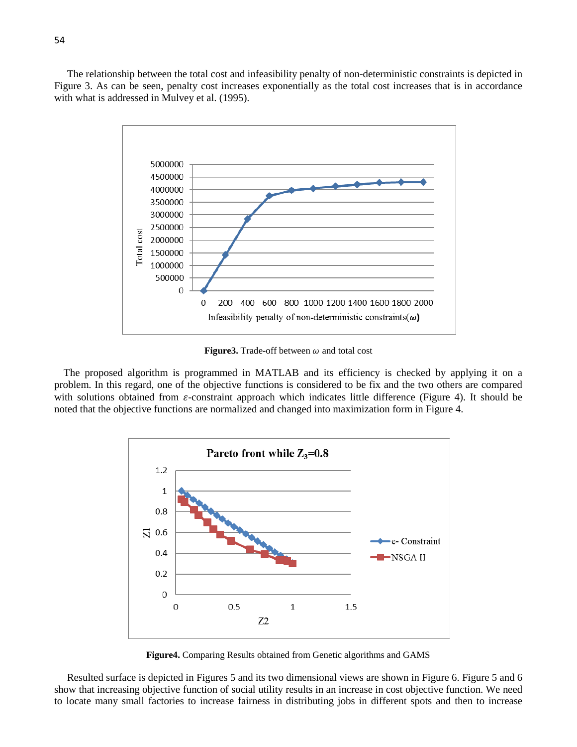The relationship between the total cost and infeasibility penalty of non-deterministic constraints is depicted in Figure 3. As can be seen, penalty cost increases exponentially as the total cost increases that is in accordance with what is addressed in [Mulvey et al. \(1995\).](#page-15-0)



**Figure3.** Trade-off between  $\omega$  and total cost

 The proposed algorithm is programmed in MATLAB and its efficiency is checked by applying it on a problem. In this regard, one of the objective functions is considered to be fix and the two others are compared with solutions obtained from  $\varepsilon$ -constraint approach which indicates little difference (Figure 4). It should be noted that the objective functions are normalized and changed into maximization form in Figure 4.



**Figure4.** Comparing Results obtained from Genetic algorithms and GAMS

Resulted surface is depicted in Figures 5 and its two dimensional views are shown in Figure 6. Figure 5 and 6 show that increasing objective function of social utility results in an increase in cost objective function. We need to locate many small factories to increase fairness in distributing jobs in different spots and then to increase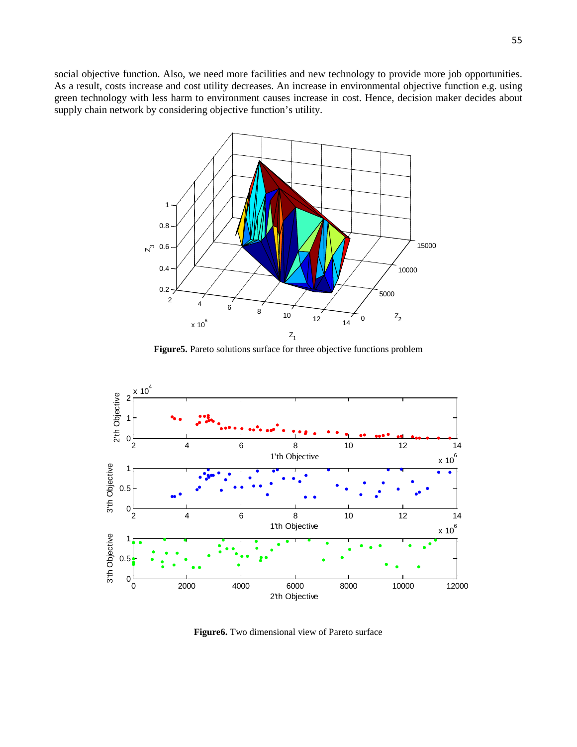social objective function. Also, we need more facilities and new technology to provide more job opportunities. As a result, costs increase and cost utility decreases. An increase in environmental objective function e.g. using green technology with less harm to environment causes increase in cost. Hence, decision maker decides about supply chain network by considering objective function's utility.



**Figure5.** Pareto solutions surface for three objective functions problem



**Figure6.** Two dimensional view of Pareto surface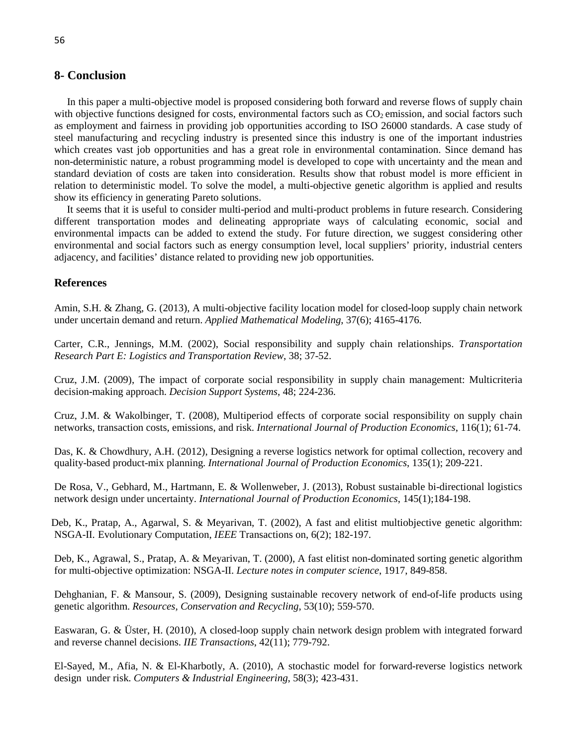# **8- Conclusion**

In this paper a multi-objective model is proposed considering both forward and reverse flows of supply chain with objective functions designed for costs, environmental factors such as  $CO<sub>2</sub>$  emission, and social factors such as employment and fairness in providing job opportunities according to ISO 26000 standards. A case study of steel manufacturing and recycling industry is presented since this industry is one of the important industries which creates vast job opportunities and has a great role in environmental contamination. Since demand has non-deterministic nature, a robust programming model is developed to cope with uncertainty and the mean and standard deviation of costs are taken into consideration. Results show that robust model is more efficient in relation to deterministic model. To solve the model, a multi-objective genetic algorithm is applied and results show its efficiency in generating Pareto solutions.

It seems that it is useful to consider multi-period and multi-product problems in future research. Considering different transportation modes and delineating appropriate ways of calculating economic, social and environmental impacts can be added to extend the study. For future direction, we suggest considering other environmental and social factors such as energy consumption level, local suppliers' priority, industrial centers adjacency, and facilities' distance related to providing new job opportunities.

# **References**

<span id="page-14-4"></span>Amin, S.H. & Zhang, G. (2013), A multi-objective facility location model for closed-loop supply chain network under uncertain demand and return. *Applied Mathematical Modeling*, 37(6); 4165-4176.

<span id="page-14-5"></span>Carter, C.R., Jennings, M.M. (2002), Social responsibility and supply chain relationships. *Transportation Research Part E: Logistics and Transportation Review*, 38; 37-52.

<span id="page-14-6"></span>Cruz, J.M. (2009), The impact of corporate social responsibility in supply chain management: Multicriteria decision-making approach. *Decision Support Systems*, 48; 224-236.

<span id="page-14-7"></span>Cruz, J.M. & Wakolbinger, T. (2008), Multiperiod effects of corporate social responsibility on supply chain networks, transaction costs, emissions, and risk. *International Journal of Production Economics*, 116(1); 61-74.

<span id="page-14-2"></span>Das, K. & Chowdhury, A.H. (2012), Designing a reverse logistics network for optimal collection, recovery and quality-based product-mix planning. *International Journal of Production Economics*, 135(1); 209-221.

<span id="page-14-3"></span>De Rosa, V., Gebhard, M., Hartmann, E. & Wollenweber, J. (2013), Robust sustainable bi-directional logistics network design under uncertainty. *International Journal of Production Economics*, 145(1);184-198.

<span id="page-14-9"></span> Deb, K., Pratap, A., Agarwal, S. & Meyarivan, T. (2002), A fast and elitist multiobjective genetic algorithm: NSGA-II. Evolutionary Computation, *IEEE* Transactions on, 6(2); 182-197.

<span id="page-14-10"></span>Deb, K., Agrawal, S., Pratap, A. & Meyarivan, T. (2000), A fast elitist non-dominated sorting genetic algorithm for multi-objective optimization: NSGA-II. *Lecture notes in computer science*, 1917, 849-858.

<span id="page-14-8"></span>Dehghanian, F. & Mansour, S. (2009), Designing sustainable recovery network of end-of-life products using genetic algorithm. *Resources, Conservation and Recycling*, 53(10); 559-570.

<span id="page-14-0"></span>Easwaran, G. & Üster, H. (2010), A closed-loop supply chain network design problem with integrated forward and reverse channel decisions. *IIE Transactions*, 42(11); 779-792.

<span id="page-14-1"></span>El-Sayed, M., Afia, N. & El-Kharbotly, A. (2010), A stochastic model for forward-reverse logistics network design under risk. *Computers & Industrial Engineering*, 58(3); 423-431.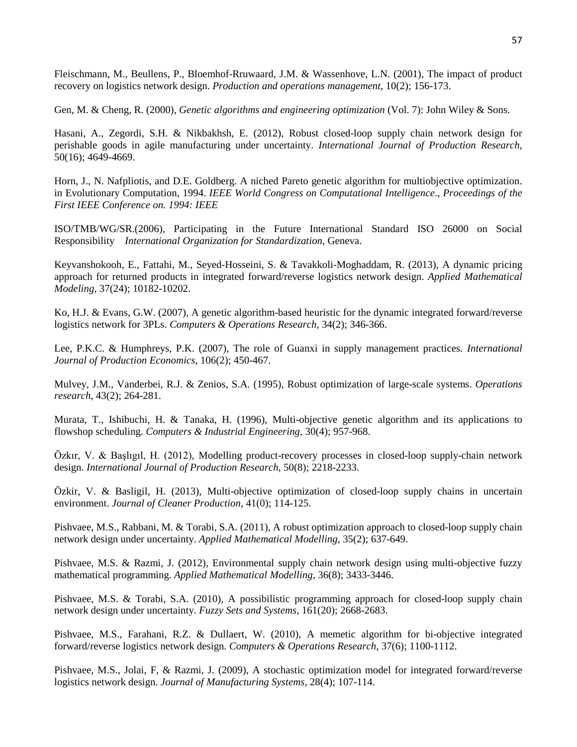<span id="page-15-1"></span>Fleischmann, M., Beullens, P., Bloemhof-Rruwaard, J.M. & Wassenhove, L.N. (2001), The impact of product recovery on logistics network design. *Production and operations management*, 10(2); 156-173.

<span id="page-15-13"></span>Gen, M. & Cheng, R. (2000), *Genetic algorithms and engineering optimization* (Vol. 7): John Wiley & Sons.

<span id="page-15-9"></span>Hasani, A., Zegordi, S.H. & Nikbakhsh, E. (2012), Robust closed-loop supply chain network design for perishable goods in agile manufacturing under uncertainty. *International Journal of Production Research*, 50(16); 4649-4669.

<span id="page-15-14"></span>Horn, J., N. Nafpliotis, and D.E. Goldberg. A niched Pareto genetic algorithm for multiobjective optimization. in Evolutionary Computation, 1994. *IEEE World Congress on Computational Intelligence*., *Proceedings of the First IEEE Conference on. 1994: IEEE*

<span id="page-15-0"></span>ISO/TMB/WG/SR.(2006), Participating in the Future International Standard ISO 26000 on Social Responsibility *International Organization for Standardization*, Geneva.

<span id="page-15-11"></span>Keyvanshokooh, E., Fattahi, M., Seyed-Hosseini, S. & Tavakkoli-Moghaddam, R. (2013), A dynamic pricing approach for returned products in integrated forward/reverse logistics network design. *Applied Mathematical Modeling,* 37(24); 10182-10202.

<span id="page-15-2"></span>Ko, H.J. & Evans, G.W. (2007), A genetic algorithm-based heuristic for the dynamic integrated forward/reverse logistics network for 3PLs. *Computers & Operations Research*, 34(2); 346-366.

<span id="page-15-3"></span>Lee, P.K.C. & Humphreys, P.K. (2007), The role of Guanxi in supply management practices*. International Journal of Production Economics*, 106(2); 450-467.

Mulvey, J.M., Vanderbei, R.J. & Zenios, S.A. (1995), Robust optimization of large-scale systems. *Operations research*, 43(2); 264-281.

Murata, T., Ishibuchi, H. & Tanaka, H. (1996), Multi-objective genetic algorithm and its applications to flowshop scheduling. *Computers & Industrial Engineering*, 30(4); 957-968.

<span id="page-15-8"></span>Özkır, V. & Başlıgıl, H. (2012), Modelling product-recovery processes in closed-loop supply-chain network design. *International Journal of Production Research*, 50(8); 2218-2233.

<span id="page-15-10"></span>Özkir, V. & Basligil, H. (2013), Multi-objective optimization of closed-loop supply chains in uncertain environment. *Journal of Cleaner Production*, 41(0); 114-125.

<span id="page-15-7"></span>Pishvaee, M.S., Rabbani, M. & Torabi, S.A. (2011), A robust optimization approach to closed-loop supply chain network design under uncertainty. *Applied Mathematical Modelling*, 35(2); 637-649.

<span id="page-15-12"></span>Pishvaee, M.S. & Razmi, J. (2012), Environmental supply chain network design using multi-objective fuzzy mathematical programming. *Applied Mathematical Modelling*, 36(8); 3433-3446.

<span id="page-15-5"></span>Pishvaee, M.S. & Torabi, S.A. (2010), A possibilistic programming approach for closed-loop supply chain network design under uncertainty. *Fuzzy Sets and Systems*, 161(20); 2668-2683.

<span id="page-15-6"></span>Pishvaee, M.S., Farahani, R.Z. & Dullaert, W. (2010), A memetic algorithm for bi-objective integrated forward/reverse logistics network design. *Computers & Operations Research*, 37(6); 1100-1112.

<span id="page-15-4"></span>Pishvaee, M.S., Jolai, F, & Razmi, J. (2009), A stochastic optimization model for integrated forward/reverse logistics network design. *Journal of Manufacturing Systems*, 28(4); 107-114.